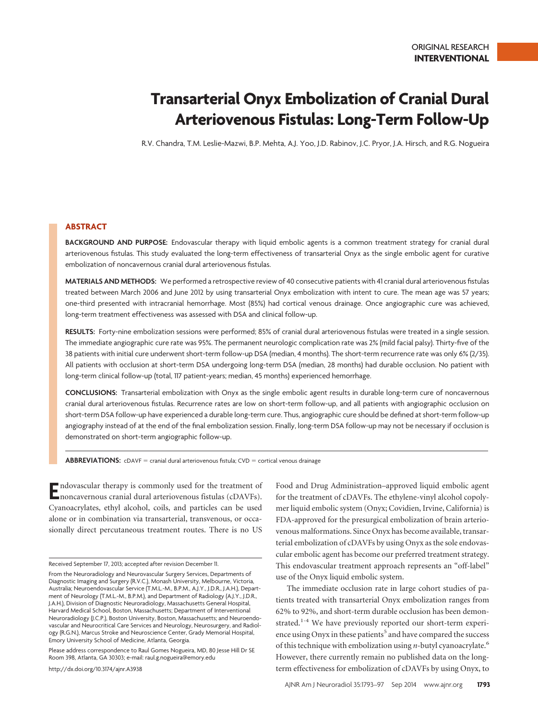# **Transarterial Onyx Embolization of Cranial Dural Arteriovenous Fistulas: Long-Term Follow-Up**

R.V. Chandra, T.M. Leslie-Mazwi, B.P. Mehta, A.J. Yoo, J.D. Rabinov, J.C. Pryor, J.A. Hirsch, and R.G. Nogueira

# **ABSTRACT**

**BACKGROUND AND PURPOSE:** Endovascular therapy with liquid embolic agents is a common treatment strategy for cranial dural arteriovenous fistulas. This study evaluated the long-term effectiveness of transarterial Onyx as the single embolic agent for curative embolization of noncavernous cranial dural arteriovenous fistulas.

**MATERIALS AND METHODS:** We performed a retrospective review of 40 consecutive patients with 41 cranial dural arteriovenous fistulas treated between March 2006 and June 2012 by using transarterial Onyx embolization with intent to cure. The mean age was 57 years; one-third presented with intracranial hemorrhage. Most (85%) had cortical venous drainage. Once angiographic cure was achieved, long-term treatment effectiveness was assessed with DSA and clinical follow-up.

**RESULTS:** Forty-nine embolization sessions were performed; 85% of cranial dural arteriovenous fistulas were treated in a single session. The immediate angiographic cure rate was 95%. The permanent neurologic complication rate was 2% (mild facial palsy). Thirty-five of the 38 patients with initial cure underwent short-term follow-up DSA (median, 4 months). The short-term recurrence rate was only 6% (2/35). All patients with occlusion at short-term DSA undergoing long-term DSA (median, 28 months) had durable occlusion. No patient with long-term clinical follow-up (total, 117 patient-years; median, 45 months) experienced hemorrhage.

**CONCLUSIONS:** Transarterial embolization with Onyx as the single embolic agent results in durable long-term cure of noncavernous cranial dural arteriovenous fistulas. Recurrence rates are low on short-term follow-up, and all patients with angiographic occlusion on short-term DSA follow-up have experienced a durable long-term cure. Thus, angiographic cure should be defined at short-term follow-up angiography instead of at the end of the final embolization session. Finally, long-term DSA follow-up may not be necessary if occlusion is demonstrated on short-term angiographic follow-up.

ABBREVIATIONS: cDAVF = cranial dural arteriovenous fistula; CVD = cortical venous drainage

**E**ndovascular therapy is commonly used for the treatment of noncavernous cranial dural arteriovenous fistulas (cDAVFs). Cyanoacrylates, ethyl alcohol, coils, and particles can be used alone or in combination via transarterial, transvenous, or occasionally direct percutaneous treatment routes. There is no US

Please address correspondence to Raul Gomes Nogueira, MD, 80 Jesse Hill Dr SE Room 398, Atlanta, GA 30303; e-mail: raul.g.nogueira@emory.edu

http://dx.doi.org/10.3174/ajnr.A3938

Food and Drug Administration–approved liquid embolic agent for the treatment of cDAVFs. The ethylene-vinyl alcohol copolymer liquid embolic system (Onyx; Covidien, Irvine, California) is FDA-approved for the presurgical embolization of brain arteriovenous malformations. Since Onyx has become available, transarterial embolization of cDAVFs by using Onyx as the sole endovascular embolic agent has become our preferred treatment strategy. This endovascular treatment approach represents an "off-label" use of the Onyx liquid embolic system.

The immediate occlusion rate in large cohort studies of patients treated with transarterial Onyx embolization ranges from 62% to 92%, and short-term durable occlusion has been demonstrated.<sup>1-4</sup> We have previously reported our short-term experience using Onyx in these patients<sup>5</sup> and have compared the success of this technique with embolization using *n*-butyl cyanoacrylate.6 However, there currently remain no published data on the longterm effectiveness for embolization of cDAVFs by using Onyx, to

Received September 17, 2013; accepted after revision December 11.

From the Neuroradiology and Neurovascular Surgery Services, Departments of Diagnostic Imaging and Surgery (R.V.C.), Monash University, Melbourne, Victoria, Australia; Neuroendovascular Service (T.M.L.-M., B.P.M., A.J.Y., J.D.R., J.A.H.), Department of Neurology (T.M.L.-M., B.P.M.), and Department of Radiology (A.J.Y., J.D.R., J.A.H.), Division of Diagnostic Neuroradiology, Massachusetts General Hospital, Harvard Medical School, Boston, Massachusetts; Department of Interventional Neuroradiology (J.C.P.), Boston University, Boston, Massachusetts; and Neuroendovascular and Neurocritical Care Services and Neurology, Neurosurgery, and Radiology (R.G.N.), Marcus Stroke and Neuroscience Center, Grady Memorial Hospital, Emory University School of Medicine, Atlanta, Georgia.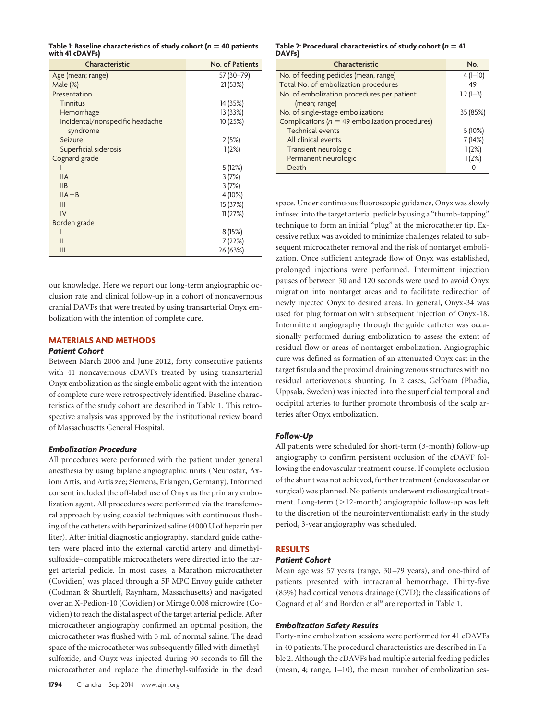|                 | Table 1: Baseline characteristics of study cohort ( $n = 40$ patients |  |
|-----------------|-----------------------------------------------------------------------|--|
| with 41 cDAVFs) |                                                                       |  |

| Characteristic                  | No. of Patients |
|---------------------------------|-----------------|
| Age (mean; range)               | 57 (30-79)      |
| Male $(\%)$                     | 21(53%)         |
| Presentation                    |                 |
| <b>Tinnitus</b>                 | 14 (35%)        |
| Hemorrhage                      | 13 (33%)        |
| Incidental/nonspecific headache | 10 (25%)        |
| syndrome                        |                 |
| Seizure                         | 2(5%)           |
| Superficial siderosis           | 1(2%)           |
| Cognard grade                   |                 |
|                                 | 5(12%)          |
| <b>IIA</b>                      | 3(7%)           |
| <b>IIB</b>                      | 3(7%)           |
| $IIA + B$                       | 4 (10%)         |
| III                             | 15 (37%)        |
| IV                              | 11(27%)         |
| Borden grade                    |                 |
|                                 | 8(15%)          |
| $\mathbf{I}$                    | 7 (22%)         |
| Ш                               | 26 (63%)        |

our knowledge. Here we report our long-term angiographic occlusion rate and clinical follow-up in a cohort of noncavernous cranial DAVFs that were treated by using transarterial Onyx embolization with the intention of complete cure.

# **MATERIALS AND METHODS**

# *Patient Cohort*

Between March 2006 and June 2012, forty consecutive patients with 41 noncavernous cDAVFs treated by using transarterial Onyx embolization as the single embolic agent with the intention of complete cure were retrospectively identified. Baseline characteristics of the study cohort are described in Table 1. This retrospective analysis was approved by the institutional review board of Massachusetts General Hospital.

## *Embolization Procedure*

All procedures were performed with the patient under general anesthesia by using biplane angiographic units (Neurostar, Axiom Artis, and Artis zee; Siemens, Erlangen, Germany). Informed consent included the off-label use of Onyx as the primary embolization agent. All procedures were performed via the transfemoral approach by using coaxial techniques with continuous flushing of the catheters with heparinized saline (4000 U of heparin per liter). After initial diagnostic angiography, standard guide catheters were placed into the external carotid artery and dimethylsulfoxide– compatible microcatheters were directed into the target arterial pedicle. In most cases, a Marathon microcatheter (Covidien) was placed through a 5F MPC Envoy guide catheter (Codman & Shurtleff, Raynham, Massachusetts) and navigated over an X-Pedion-10 (Covidien) or Mirage 0.008 microwire (Covidien) to reach the distal aspect of the target arterial pedicle. After microcatheter angiography confirmed an optimal position, the microcatheter was flushed with 5 mL of normal saline. The dead space of the microcatheter was subsequently filled with dimethylsulfoxide, and Onyx was injected during 90 seconds to fill the microcatheter and replace the dimethyl-sulfoxide in the dead

#### Table 2: Procedural characteristics of study cohort (*n* = 41 **DAVFs)**

| Characteristic                                    | No.        |
|---------------------------------------------------|------------|
| No. of feeding pedicles (mean, range)             | $4(1-10)$  |
| Total No. of embolization procedures              | 49         |
| No. of embolization procedures per patient        | $1.2(1-3)$ |
| (mean; range)                                     |            |
| No. of single-stage embolizations                 | 35 (85%)   |
| Complications ( $n = 49$ embolization procedures) |            |
| <b>Technical events</b>                           | 5(10%)     |
| All clinical events                               | 7(14%)     |
| Transient neurologic                              | 1(2%)      |
| Permanent neurologic                              | 1(2%)      |
| Death                                             |            |

space. Under continuous fluoroscopic guidance, Onyx was slowly infused into the target arterial pedicle by using a "thumb-tapping" technique to form an initial "plug" at the microcatheter tip. Excessive reflux was avoided to minimize challenges related to subsequent microcatheter removal and the risk of nontarget embolization. Once sufficient antegrade flow of Onyx was established, prolonged injections were performed. Intermittent injection pauses of between 30 and 120 seconds were used to avoid Onyx migration into nontarget areas and to facilitate redirection of newly injected Onyx to desired areas. In general, Onyx-34 was used for plug formation with subsequent injection of Onyx-18. Intermittent angiography through the guide catheter was occasionally performed during embolization to assess the extent of residual flow or areas of nontarget embolization. Angiographic cure was defined as formation of an attenuated Onyx cast in the target fistula and the proximal draining venous structures with no residual arteriovenous shunting. In 2 cases, Gelfoam (Phadia, Uppsala, Sweden) was injected into the superficial temporal and occipital arteries to further promote thrombosis of the scalp arteries after Onyx embolization.

#### *Follow-Up*

All patients were scheduled for short-term (3-month) follow-up angiography to confirm persistent occlusion of the cDAVF following the endovascular treatment course. If complete occlusion of the shunt was not achieved, further treatment (endovascular or surgical) was planned. No patients underwent radiosurgical treatment. Long-term (>12-month) angiographic follow-up was left to the discretion of the neurointerventionalist; early in the study period, 3-year angiography was scheduled.

## **RESULTS**

## *Patient Cohort*

Mean age was 57 years (range, 30 –79 years), and one-third of patients presented with intracranial hemorrhage. Thirty-five (85%) had cortical venous drainage (CVD); the classifications of Cognard et al<sup>7</sup> and Borden et al<sup>8</sup> are reported in Table 1.

#### *Embolization Safety Results*

Forty-nine embolization sessions were performed for 41 cDAVFs in 40 patients. The procedural characteristics are described in Table 2. Although the cDAVFs had multiple arterial feeding pedicles (mean, 4; range, 1–10), the mean number of embolization ses-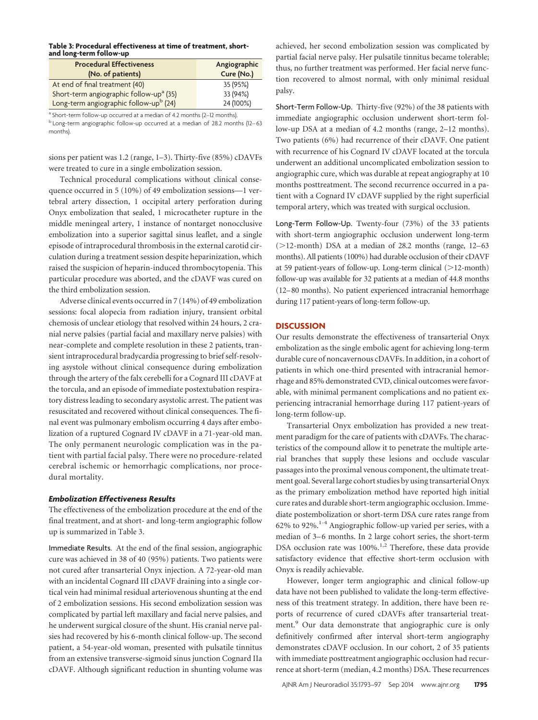## **Table 3: Procedural effectiveness at time of treatment, shortand long-term follow-up**

| <b>Procedural Effectiveness</b><br>(No. of patients) | Angiographic<br>Cure (No.) |
|------------------------------------------------------|----------------------------|
| At end of final treatment (40)                       | 35 (95%)                   |
| Short-term angiographic follow-up <sup>a</sup> (35)  | 33 (94%)                   |
| Long-term angiographic follow-upb (24)               | 24 (100%)                  |

a Short-term follow-up occurred at a median of 4.2 months (2-12 months). <sup>b</sup> Long-term angiographic follow-up occurred at a median of 28.2 months (12–63 months).

sions per patient was 1.2 (range, 1–3). Thirty-five (85%) cDAVFs were treated to cure in a single embolization session.

Technical procedural complications without clinical consequence occurred in 5 (10%) of 49 embolization sessions—1 vertebral artery dissection, 1 occipital artery perforation during Onyx embolization that sealed, 1 microcatheter rupture in the middle meningeal artery, 1 instance of nontarget nonocclusive embolization into a superior sagittal sinus leaflet, and a single episode of intraprocedural thrombosis in the external carotid circulation during a treatment session despite heparinization, which raised the suspicion of heparin-induced thrombocytopenia. This particular procedure was aborted, and the cDAVF was cured on the third embolization session.

Adverse clinical events occurred in 7 (14%) of 49 embolization sessions: focal alopecia from radiation injury, transient orbital chemosis of unclear etiology that resolved within 24 hours, 2 cranial nerve palsies (partial facial and maxillary nerve palsies) with near-complete and complete resolution in these 2 patients, transient intraprocedural bradycardia progressing to brief self-resolving asystole without clinical consequence during embolization through the artery of the falx cerebelli for a Cognard III cDAVF at the torcula, and an episode of immediate postextubation respiratory distress leading to secondary asystolic arrest. The patient was resuscitated and recovered without clinical consequences. The final event was pulmonary embolism occurring 4 days after embolization of a ruptured Cognard IV cDAVF in a 71-year-old man. The only permanent neurologic complication was in the patient with partial facial palsy. There were no procedure-related cerebral ischemic or hemorrhagic complications, nor procedural mortality.

## *Embolization Effectiveness Results*

The effectiveness of the embolization procedure at the end of the final treatment, and at short- and long-term angiographic follow up is summarized in Table 3.

Immediate Results. At the end of the final session, angiographic cure was achieved in 38 of 40 (95%) patients. Two patients were not cured after transarterial Onyx injection. A 72-year-old man with an incidental Cognard III cDAVF draining into a single cortical vein had minimal residual arteriovenous shunting at the end of 2 embolization sessions. His second embolization session was complicated by partial left maxillary and facial nerve palsies, and he underwent surgical closure of the shunt. His cranial nerve palsies had recovered by his 6-month clinical follow-up. The second patient, a 54-year-old woman, presented with pulsatile tinnitus from an extensive transverse-sigmoid sinus junction Cognard IIa cDAVF. Although significant reduction in shunting volume was

achieved, her second embolization session was complicated by partial facial nerve palsy. Her pulsatile tinnitus became tolerable; thus, no further treatment was performed. Her facial nerve function recovered to almost normal, with only minimal residual palsy.

Short-Term Follow-Up. Thirty-five (92%) of the 38 patients with immediate angiographic occlusion underwent short-term follow-up DSA at a median of 4.2 months (range, 2–12 months). Two patients (6%) had recurrence of their cDAVF. One patient with recurrence of his Cognard IV cDAVF located at the torcula underwent an additional uncomplicated embolization session to angiographic cure, which was durable at repeat angiography at 10 months posttreatment. The second recurrence occurred in a patient with a Cognard IV cDAVF supplied by the right superficial temporal artery, which was treated with surgical occlusion.

Long-Term Follow-Up. Twenty-four (73%) of the 33 patients with short-term angiographic occlusion underwent long-term  $(>12$ -month) DSA at a median of 28.2 months (range, 12–63) months). All patients (100%) had durable occlusion of their cDAVF at 59 patient-years of follow-up. Long-term clinical  $(>12$ -month) follow-up was available for 32 patients at a median of 44.8 months (12–80 months). No patient experienced intracranial hemorrhage during 117 patient-years of long-term follow-up.

# **DISCUSSION**

Our results demonstrate the effectiveness of transarterial Onyx embolization as the single embolic agent for achieving long-term durable cure of noncavernous cDAVFs. In addition, in a cohort of patients in which one-third presented with intracranial hemorrhage and 85% demonstrated CVD, clinical outcomes were favorable, with minimal permanent complications and no patient experiencing intracranial hemorrhage during 117 patient-years of long-term follow-up.

Transarterial Onyx embolization has provided a new treatment paradigm for the care of patients with cDAVFs. The characteristics of the compound allow it to penetrate the multiple arterial branches that supply these lesions and occlude vascular passages into the proximal venous component, the ultimate treatment goal. Several large cohort studies by using transarterial Onyx as the primary embolization method have reported high initial cure rates and durable short-term angiographic occlusion. Immediate postembolization or short-term DSA cure rates range from 62% to 92%.1-4 Angiographic follow-up varied per series, with a median of 3–6 months. In 2 large cohort series, the short-term DSA occlusion rate was 100%.<sup>1,2</sup> Therefore, these data provide satisfactory evidence that effective short-term occlusion with Onyx is readily achievable.

However, longer term angiographic and clinical follow-up data have not been published to validate the long-term effectiveness of this treatment strategy. In addition, there have been reports of recurrence of cured cDAVFs after transarterial treatment.<sup>9</sup> Our data demonstrate that angiographic cure is only definitively confirmed after interval short-term angiography demonstrates cDAVF occlusion. In our cohort, 2 of 35 patients with immediate posttreatment angiographic occlusion had recurrence at short-term (median, 4.2 months) DSA. These recurrences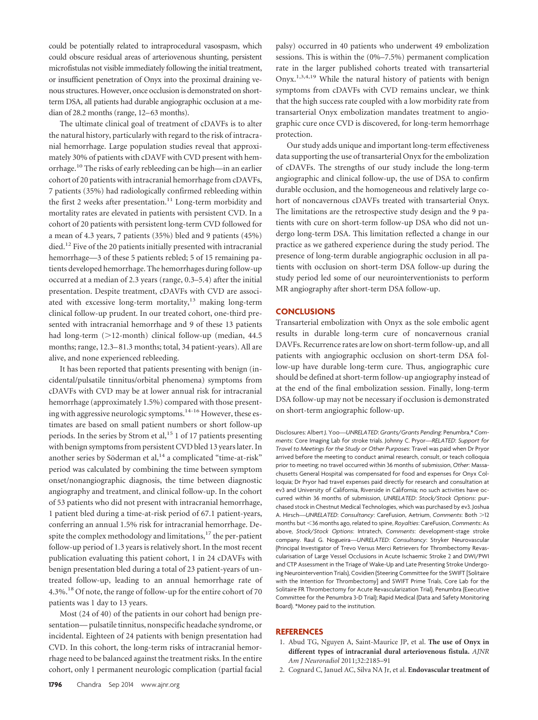could be potentially related to intraprocedural vasospasm, which could obscure residual areas of arteriovenous shunting, persistent microfistulas not visible immediately following the initial treatment, or insufficient penetration of Onyx into the proximal draining venous structures. However, once occlusion is demonstrated on shortterm DSA, all patients had durable angiographic occlusion at a median of 28.2 months (range, 12–63 months).

The ultimate clinical goal of treatment of cDAVFs is to alter the natural history, particularly with regard to the risk of intracranial hemorrhage. Large population studies reveal that approximately 30% of patients with cDAVF with CVD present with hemorrhage.10 The risks of early rebleeding can be high—in an earlier cohort of 20 patients with intracranial hemorrhage from cDAVFs, 7 patients (35%) had radiologically confirmed rebleeding within the first 2 weeks after presentation.<sup>11</sup> Long-term morbidity and mortality rates are elevated in patients with persistent CVD. In a cohort of 20 patients with persistent long-term CVD followed for a mean of 4.3 years, 7 patients (35%) bled and 9 patients (45%) died.<sup>12</sup> Five of the 20 patients initially presented with intracranial hemorrhage—3 of these 5 patients rebled; 5 of 15 remaining patients developed hemorrhage. The hemorrhages during follow-up occurred at a median of 2.3 years (range, 0.3–5.4) after the initial presentation. Despite treatment, cDAVFs with CVD are associated with excessive long-term mortality, $13$  making long-term clinical follow-up prudent. In our treated cohort, one-third presented with intracranial hemorrhage and 9 of these 13 patients had long-term  $(>12$ -month) clinical follow-up (median, 44.5 months; range, 12.3–81.3 months; total, 34 patient-years). All are alive, and none experienced rebleeding.

It has been reported that patients presenting with benign (incidental/pulsatile tinnitus/orbital phenomena) symptoms from cDAVFs with CVD may be at lower annual risk for intracranial hemorrhage (approximately 1.5%) compared with those presenting with aggressive neurologic symptoms.<sup>14-16</sup> However, these estimates are based on small patient numbers or short follow-up periods. In the series by Strom et al,  $15$  1 of 17 patients presenting with benign symptoms from persistent CVD bled 13 years later. In another series by Söderman et al,<sup>14</sup> a complicated "time-at-risk" period was calculated by combining the time between symptom onset/nonangiographic diagnosis, the time between diagnostic angiography and treatment, and clinical follow-up. In the cohort of 53 patients who did not present with intracranial hemorrhage, 1 patient bled during a time-at-risk period of 67.1 patient-years, conferring an annual 1.5% risk for intracranial hemorrhage. Despite the complex methodology and limitations, $17$  the per-patient follow-up period of 1.3 years is relatively short. In the most recent publication evaluating this patient cohort, 1 in 24 cDAVFs with benign presentation bled during a total of 23 patient-years of untreated follow-up, leading to an annual hemorrhage rate of 4.3%.18 Of note, the range of follow-up for the entire cohort of 70 patients was 1 day to 13 years.

Most (24 of 40) of the patients in our cohort had benign presentation— pulsatile tinnitus, nonspecific headache syndrome, or incidental. Eighteen of 24 patients with benign presentation had CVD. In this cohort, the long-term risks of intracranial hemorrhage need to be balanced against the treatment risks. In the entire cohort, only 1 permanent neurologic complication (partial facial

**1796** Chandra Sep 2014 www.ajnr.org

palsy) occurred in 40 patients who underwent 49 embolization sessions. This is within the (0%–7.5%) permanent complication rate in the larger published cohorts treated with transarterial Onyx.<sup>1,3,4,19</sup> While the natural history of patients with benign symptoms from cDAVFs with CVD remains unclear, we think that the high success rate coupled with a low morbidity rate from transarterial Onyx embolization mandates treatment to angiographic cure once CVD is discovered, for long-term hemorrhage protection.

Our study adds unique and important long-term effectiveness data supporting the use of transarterial Onyx for the embolization of cDAVFs. The strengths of our study include the long-term angiographic and clinical follow-up, the use of DSA to confirm durable occlusion, and the homogeneous and relatively large cohort of noncavernous cDAVFs treated with transarterial Onyx. The limitations are the retrospective study design and the 9 patients with cure on short-term follow-up DSA who did not undergo long-term DSA. This limitation reflected a change in our practice as we gathered experience during the study period. The presence of long-term durable angiographic occlusion in all patients with occlusion on short-term DSA follow-up during the study period led some of our neurointerventionists to perform MR angiography after short-term DSA follow-up.

## **CONCLUSIONS**

Transarterial embolization with Onyx as the sole embolic agent results in durable long-term cure of noncavernous cranial DAVFs. Recurrence rates are low on short-term follow-up, and all patients with angiographic occlusion on short-term DSA follow-up have durable long-term cure. Thus, angiographic cure should be defined at short-term follow-up angiography instead of at the end of the final embolization session. Finally, long-term DSA follow-up may not be necessary if occlusion is demonstrated on short-term angiographic follow-up.

Disclosures: Albert J. Yoo—*UNRELATED*: *Grants/Grants Pending*: Penumbra,\* *Comments*: Core Imaging Lab for stroke trials. Johnny C. Pryor—*RELATED*: *Support for Travel to Meetings for the Study or Other Purposes*: Travel was paid when Dr Pryor arrived before the meeting to conduct animal research, consult, or teach colloquia prior to meeting; no travel occurred within 36 months of submission, *Other:* Massachusetts General Hospital was compensated for food and expenses for Onyx Colloquia; Dr Pryor had travel expenses paid directly for research and consultation at ev3 and University of California, Riverside in California; no such activities have occurred within 36 months of submission, *UNRELATED*: *Stock/Stock Options*: purchased stock in Chestnut Medical Technologies, which was purchased by ev3. Joshua A. Hirsch—*UNRELATED*: *Consultancy*: CareFusion, Aetrium, *Comments*: Both 12 months but 36 months ago, related to spine, *Royalties*: CareFusion, *Comments*: As above, *Stock/Stock Options*: Intratech, *Comments*: development-stage stroke company. Raul G. Nogueira—*UNRELATED*: *Consultancy*: Stryker Neurovascular (Principal Investigator of Trevo Versus Merci Retrievers for Thrombectomy Revascularisation of Large Vessel Occlusions in Acute Ischaemic Stroke 2 and DWI/PWI and CTP Assessment in the Triage of Wake-Up and Late Presenting Stroke Undergoing Neurointervention Trials), Covidien (Steering Committee for the SWIFT [Solitaire with the Intention for Thrombectomy] and SWIFT Prime Trials, Core Lab for the Solitaire FR Thrombectomy for Acute Revascularization Trial), Penumbra (Executive Committee for the Penumbra 3-D Trial); Rapid Medical (Data and Safety Monitoring Board). \*Money paid to the institution.

#### **REFERENCES**

- 1. Abud TG, Nguyen A, Saint-Maurice JP, et al. **The use of Onyx in different types of intracranial dural arteriovenous fistula.** *AJNR Am J Neuroradiol* 2011;32:2185–91
- 2. Cognard C, Januel AC, Silva NA Jr, et al. **Endovascular treatment of**